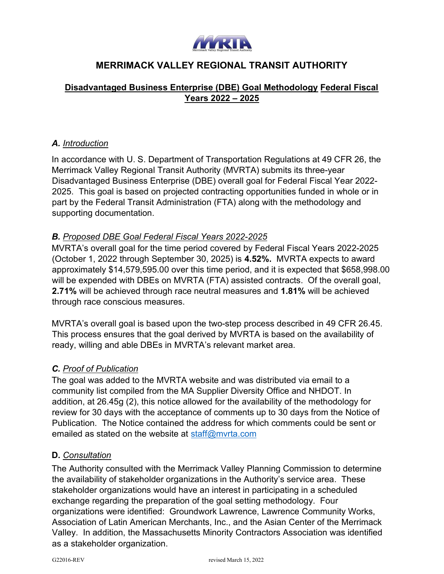

# MERRIMACK VALLEY REGIONAL TRANSIT AUTHORITY

#### Disadvantaged Business Enterprise (DBE) Goal Methodology Federal Fiscal Years 2022 – 2025

#### A. Introduction

In accordance with U. S. Department of Transportation Regulations at 49 CFR 26, the Merrimack Valley Regional Transit Authority (MVRTA) submits its three-year Disadvantaged Business Enterprise (DBE) overall goal for Federal Fiscal Year 2022- 2025. This goal is based on projected contracting opportunities funded in whole or in part by the Federal Transit Administration (FTA) along with the methodology and supporting documentation.

#### B. Proposed DBE Goal Federal Fiscal Years 2022-2025

MVRTA's overall goal for the time period covered by Federal Fiscal Years 2022-2025 (October 1, 2022 through September 30, 2025) is 4.52%. MVRTA expects to award approximately \$14,579,595.00 over this time period, and it is expected that \$658,998.00 will be expended with DBEs on MVRTA (FTA) assisted contracts. Of the overall goal, 2.71% will be achieved through race neutral measures and 1.81% will be achieved through race conscious measures.

MVRTA's overall goal is based upon the two-step process described in 49 CFR 26.45. This process ensures that the goal derived by MVRTA is based on the availability of ready, willing and able DBEs in MVRTA's relevant market area.

#### C. Proof of Publication

The goal was added to the MVRTA website and was distributed via email to a community list compiled from the MA Supplier Diversity Office and NHDOT. In addition, at 26.45g (2), this notice allowed for the availability of the methodology for review for 30 days with the acceptance of comments up to 30 days from the Notice of Publication. The Notice contained the address for which comments could be sent or emailed as stated on the website at staff@mvrta.com

#### D. Consultation

The Authority consulted with the Merrimack Valley Planning Commission to determine the availability of stakeholder organizations in the Authority's service area. These stakeholder organizations would have an interest in participating in a scheduled exchange regarding the preparation of the goal setting methodology. Four organizations were identified: Groundwork Lawrence, Lawrence Community Works, Association of Latin American Merchants, Inc., and the Asian Center of the Merrimack Valley. In addition, the Massachusetts Minority Contractors Association was identified as a stakeholder organization.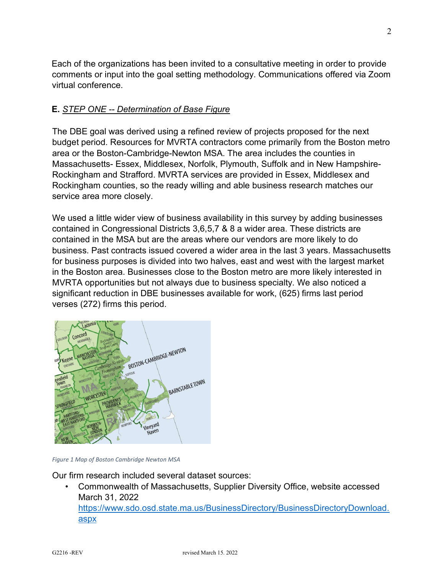Each of the organizations has been invited to a consultative meeting in order to provide comments or input into the goal setting methodology. Communications offered via Zoom virtual conference.

# E. STEP ONE -- Determination of Base Figure

The DBE goal was derived using a refined review of projects proposed for the next budget period. Resources for MVRTA contractors come primarily from the Boston metro area or the Boston-Cambridge-Newton MSA. The area includes the counties in Massachusetts- Essex, Middlesex, Norfolk, Plymouth, Suffolk and in New Hampshire-Rockingham and Strafford. MVRTA services are provided in Essex, Middlesex and Rockingham counties, so the ready willing and able business research matches our service area more closely.

We used a little wider view of business availability in this survey by adding businesses contained in Congressional Districts 3,6,5,7 & 8 a wider area. These districts are contained in the MSA but are the areas where our vendors are more likely to do business. Past contracts issued covered a wider area in the last 3 years. Massachusetts for business purposes is divided into two halves, east and west with the largest market in the Boston area. Businesses close to the Boston metro are more likely interested in MVRTA opportunities but not always due to business specialty. We also noticed a significant reduction in DBE businesses available for work, (625) firms last period verses (272) firms this period.



Figure 1 Map of Boston Cambridge Newton MSA

Our firm research included several dataset sources:

• Commonwealth of Massachusetts, Supplier Diversity Office, website accessed March 31, 2022

https://www.sdo.osd.state.ma.us/BusinessDirectory/BusinessDirectoryDownload. aspx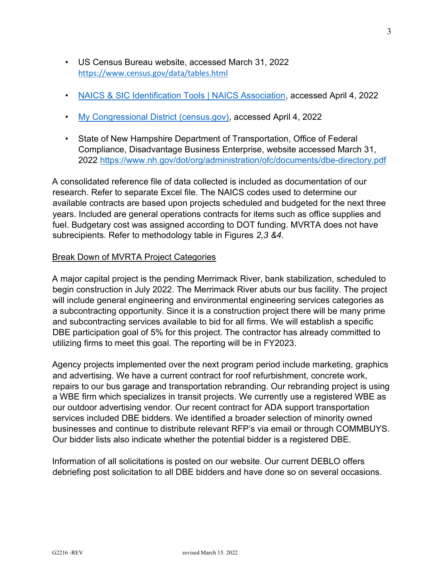- US Census Bureau website, accessed March 31, 2022 https://www.census.gov/data/tables.html
- NAICS & SIC Identification Tools | NAICS Association, accessed April 4, 2022
- My Congressional District (census.gov), accessed April 4, 2022
- State of New Hampshire Department of Transportation, Office of Federal Compliance, Disadvantage Business Enterprise, website accessed March 31, 2022 https://www.nh.gov/dot/org/administration/ofc/documents/dbe-directory.pdf

A consolidated reference file of data collected is included as documentation of our research. Refer to separate Excel file. The NAICS codes used to determine our available contracts are based upon projects scheduled and budgeted for the next three years. Included are general operations contracts for items such as office supplies and fuel. Budgetary cost was assigned according to DOT funding. MVRTA does not have subrecipients. Refer to methodology table in Figures 2,3 &4.

#### Break Down of MVRTA Project Categories

A major capital project is the pending Merrimack River, bank stabilization, scheduled to begin construction in July 2022. The Merrimack River abuts our bus facility. The project will include general engineering and environmental engineering services categories as a subcontracting opportunity. Since it is a construction project there will be many prime and subcontracting services available to bid for all firms. We will establish a specific DBE participation goal of 5% for this project. The contractor has already committed to utilizing firms to meet this goal. The reporting will be in FY2023.

Agency projects implemented over the next program period include marketing, graphics and advertising. We have a current contract for roof refurbishment, concrete work, repairs to our bus garage and transportation rebranding. Our rebranding project is using a WBE firm which specializes in transit projects. We currently use a registered WBE as our outdoor advertising vendor. Our recent contract for ADA support transportation services included DBE bidders. We identified a broader selection of minority owned businesses and continue to distribute relevant RFP's via email or through COMMBUYS. Our bidder lists also indicate whether the potential bidder is a registered DBE.

Information of all solicitations is posted on our website. Our current DEBLO offers debriefing post solicitation to all DBE bidders and have done so on several occasions.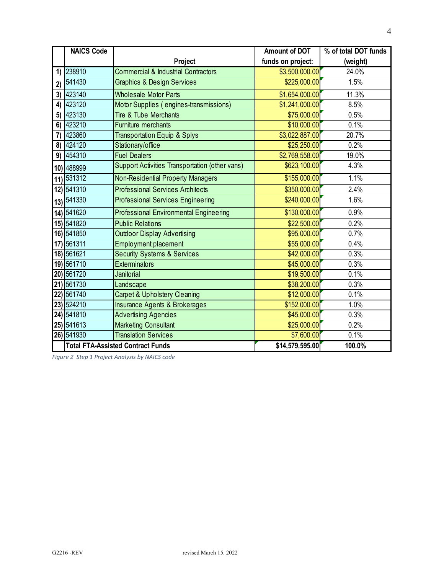| <b>NAICS Code</b>        |                                                               | Amount of DOT                       | % of total DOT funds |
|--------------------------|---------------------------------------------------------------|-------------------------------------|----------------------|
| $1)$ 238910              | Project<br><b>Commercial &amp; Industrial Contractors</b>     | funds on project:<br>\$3,500,000.00 | (weight)<br>24.0%    |
| 2)  541430               | <b>Graphics &amp; Design Services</b>                         | \$225,000.00                        | 1.5%                 |
| 3)  423140               | <b>Wholesale Motor Parts</b>                                  | \$1,654,000.00                      | 11.3%                |
| 4) $ 423120$             | Motor Supplies (engines-transmissions)                        | \$1,241,000.00                      | 8.5%                 |
| $5)$ 423130              | Tire & Tube Merchants                                         | \$75,000.00                         | 0.5%                 |
| $6)$ 423210              | Furniture merchants                                           | \$10,000.00                         | 0.1%                 |
| $7)$ 423860              | <b>Transportation Equip &amp; Splys</b>                       | \$3,022,887.00                      | 20.7%                |
| 8) 424120                | Stationary/office                                             | \$25,250.00                         | 0.2%                 |
| $9)$ 454310              | <b>Fuel Dealers</b>                                           | \$2,769,558.00                      | 19.0%                |
| 10) 488999               | Support Activities Transportation (other vans)                | \$623,100.00                        | 4.3%                 |
| $111$ <sup>531312</sup>  | <b>Non-Residential Property Managers</b>                      | \$155,000.00                        | 1.1%                 |
| 12) 541310               | <b>Professional Services Architects</b>                       | \$350,000.00                        | 2.4%                 |
| 13) 541330               | <b>Professional Services Engineering</b>                      | \$240,000.00                        | 1.6%                 |
|                          | Professional Environmental Engineering                        | \$130,000.00                        | 0.9%                 |
| 14) 541620               |                                                               |                                     | 0.2%                 |
| 15) 541820<br>16) 541850 | <b>Public Relations</b><br><b>Outdoor Display Advertising</b> | \$22,500.00<br>\$95,000.00          | 0.7%                 |
| 17) 561311               | <b>Employment placement</b>                                   | \$55,000.00                         | 0.4%                 |
| 18) 561621               | <b>Security Systems &amp; Services</b>                        | \$42,000.00                         | 0.3%                 |
| 19) 561710               | <b>Exterminators</b>                                          | \$45,000.00]                        | 0.3%                 |
| 20) 561720               | Janitorial                                                    | \$19,500.00                         | 0.1%                 |
| $21)$ 561730             | Landscape                                                     | \$38,200.00                         | 0.3%                 |
| 22) 561740               | Carpet & Upholstery Cleaning                                  | \$12,000.00                         | 0.1%                 |
| $23)$ 524210             | <b>Insurance Agents &amp; Brokerages</b>                      | \$152,000.00                        | 1.0%                 |
| $24)$ 541810             | <b>Advertising Agencies</b>                                   | \$45,000.00                         | 0.3%                 |
| 25) 541613               | <b>Marketing Consultant</b>                                   | \$25,000.00                         | 0.2%                 |
| 26) 541930               | <b>Translation Services</b>                                   | \$7,600.00                          | 0.1%                 |
|                          | <b>Total FTA-Assisted Contract Funds</b>                      | \$14,579,595.00                     | 100.0%               |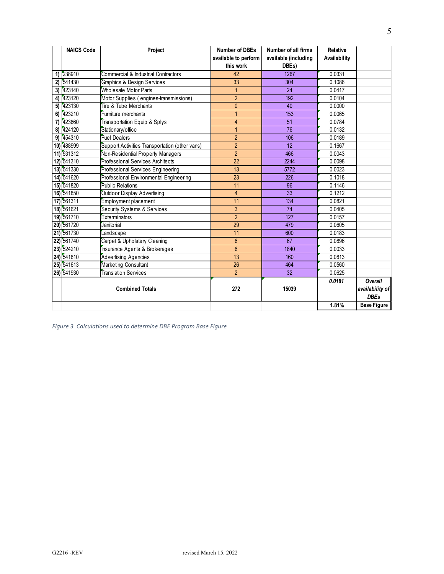|                                                                                                                                                                     |                                                                                                                                               |                                                        |                      |                      |                  | 5                              |
|---------------------------------------------------------------------------------------------------------------------------------------------------------------------|-----------------------------------------------------------------------------------------------------------------------------------------------|--------------------------------------------------------|----------------------|----------------------|------------------|--------------------------------|
|                                                                                                                                                                     |                                                                                                                                               |                                                        |                      |                      |                  |                                |
|                                                                                                                                                                     | <b>NAICS Code</b>                                                                                                                             | Project                                                | Number of DBEs       | Number of all firms  | Relative         |                                |
|                                                                                                                                                                     |                                                                                                                                               |                                                        | available to perform | available (including | Availability     |                                |
|                                                                                                                                                                     |                                                                                                                                               |                                                        | this work            | DBEs)                |                  |                                |
|                                                                                                                                                                     |                                                                                                                                               | Commercial & Industrial Contractors                    | 42                   | 1267                 | 0.0331           |                                |
|                                                                                                                                                                     |                                                                                                                                               | Graphics & Design Services                             | 33                   | 304                  | 0.1086           |                                |
|                                                                                                                                                                     |                                                                                                                                               | Wholesale Motor Parts                                  | $\mathbf{1}$         | 24                   | 0.0417           |                                |
|                                                                                                                                                                     |                                                                                                                                               | Motor Supplies (engines-transmissions)                 | $\overline{a}$       | 192                  | 0.0104           |                                |
|                                                                                                                                                                     | 1) 238910<br>2) 541430<br>3) 423140<br>4) 423120<br>5) 423130<br>6) 423210<br>7) 423860<br>8) 424120<br>9) 454310<br>10) 488999<br>11) 531312 | Tire & Tube Merchants                                  | $\overline{0}$       | 40                   | 0.0000           |                                |
|                                                                                                                                                                     |                                                                                                                                               | Furniture merchants                                    | $\mathbf 1$          | 153                  | 0.0065           |                                |
|                                                                                                                                                                     |                                                                                                                                               | Transportation Equip & Splys                           | $\overline{4}$       | 51                   | 0.0784           |                                |
|                                                                                                                                                                     |                                                                                                                                               | Stationary/office                                      | $\mathbf 1$          | 76                   | 0.0132           |                                |
|                                                                                                                                                                     |                                                                                                                                               | <b>Fuel Dealers</b>                                    | $\overline{2}$       | 106                  | 0.0189           |                                |
|                                                                                                                                                                     |                                                                                                                                               | Support Activities Transportation (other vans)         | $\overline{2}$       | 12                   | 0.1667           |                                |
|                                                                                                                                                                     |                                                                                                                                               | Non-Residential Property Managers                      | $\overline{2}$       | 466                  | 0.0043           |                                |
|                                                                                                                                                                     | 12) 541310<br>13) 541330                                                                                                                      | Professional Services Architects                       | $\overline{22}$      | 2244                 | 0.0098           |                                |
|                                                                                                                                                                     |                                                                                                                                               | Professional Services Engineering                      | 13<br>23             | 5772<br>226          | 0.0023<br>0.1018 |                                |
|                                                                                                                                                                     |                                                                                                                                               | Professional Environmental Engineering                 | 11                   | 96                   | 0.1146           |                                |
|                                                                                                                                                                     |                                                                                                                                               | <b>Public Relations</b><br>Outdoor Display Advertising | 4                    | 33                   | 0.1212           |                                |
|                                                                                                                                                                     | 14) 541620<br>15) 541820<br>16) 541850<br>17) 561311<br>18) 561621                                                                            | Employment placement                                   | 11                   | 134                  | 0.0821           |                                |
|                                                                                                                                                                     |                                                                                                                                               | Security Systems & Services                            | 3                    | 74                   | 0.0405           |                                |
|                                                                                                                                                                     | 19) 561710                                                                                                                                    | Exterminators                                          | $\overline{a}$       | 127                  | 0.0157           |                                |
|                                                                                                                                                                     |                                                                                                                                               | Janitorial                                             | 29                   | 479                  | 0.0605           |                                |
|                                                                                                                                                                     |                                                                                                                                               | Landscape                                              | 11                   | 600                  | 0.0183           |                                |
|                                                                                                                                                                     |                                                                                                                                               | Carpet & Upholstery Cleaning                           | $6\phantom{.}$       | 67                   | 0.0896           |                                |
|                                                                                                                                                                     |                                                                                                                                               | Insurance Agents & Brokerages                          | $6\phantom{.}$       | 1840                 | 0.0033           |                                |
|                                                                                                                                                                     |                                                                                                                                               | <b>Advertising Agencies</b>                            | 13                   | 160                  | 0.0813           |                                |
|                                                                                                                                                                     |                                                                                                                                               | Marketing Consultant                                   | $26\phantom{.}$      | 464                  | 0.0560           |                                |
|                                                                                                                                                                     |                                                                                                                                               | <b>Translation Services</b>                            | $\overline{2}$       | 32                   | 0.0625           |                                |
|                                                                                                                                                                     |                                                                                                                                               | <b>Combined Totals</b>                                 |                      |                      | 0.0181           | Overall                        |
| <b>19 30 1710</b><br><b>20 56 1720</b><br><b>21 56 1730</b><br><b>22 56 1740</b><br><b>23 524210</b><br><b>24 54 1810</b><br><b>25 54 1813</b><br><b>26 54 1930</b> |                                                                                                                                               |                                                        | 272                  | 15039                |                  | availability of<br><b>DBEs</b> |
|                                                                                                                                                                     |                                                                                                                                               |                                                        |                      |                      | 1.81%            | <b>Base Figure</b>             |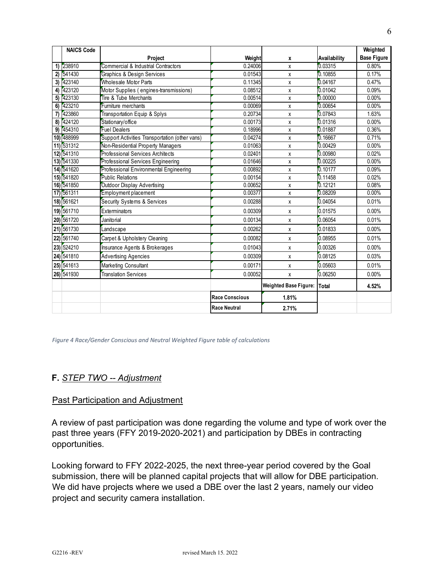| 14) 541620<br>15) 541820<br>16) 541850<br>17) 561311<br>18) 561621<br>19) 561710<br>20) 561720<br>21) 561730<br>22) 561740<br>23) 524210<br>24) 541810<br>25) 541613<br>26) 541810 | Professional Services Engineering<br>Professional Environmental Engineering<br>Public Relations<br>Outdoor Display Advertising<br>Employment placement<br>Security Systems & Services<br>Exterminators<br>Janitorial<br>Landscape<br>Carpet & Upholstery Cleaning<br>Insurance Agents & Brokerages<br>Advertising Agencies<br>Marketing Consultant<br>Translation Services | 0.01646<br>0.00892<br>0.00154<br>0.00652<br>0.00377<br>0.00288<br>0.00309<br>0.00134<br>0.00262<br>0.00082<br>0.01043<br>0.00309<br>0.00171<br>0.00052<br>Race Conscious<br>Race Neutral | $\pmb{\mathsf{x}}$<br>$\pmb{\mathsf{X}}$<br>х<br>х<br>X<br>X<br>X<br>X<br>X<br>X<br>X<br>$\pmb{\mathsf{X}}$<br>$\pmb{\mathsf{X}}$<br>$\pmb{\mathsf{X}}$<br>Weighted Base Figure: Total<br>1.81%<br>2.71% | 0.00225<br>0.10177<br>0.11458<br>0.12121<br>0.08209<br>0.04054<br>0.01575<br>0.06054<br>0.01833<br>0.08955<br>0.00326<br>0.08125<br>0.05603<br>0.06250 | 0.00%<br>0.09%<br>0.02%<br>0.08%<br>0.00%<br>0.01%<br>0.00%<br>0.01%<br>0.00%<br>0.01%<br>0.00%<br>0.03%<br>0.01%<br>0.00%<br>4.52% |
|------------------------------------------------------------------------------------------------------------------------------------------------------------------------------------|----------------------------------------------------------------------------------------------------------------------------------------------------------------------------------------------------------------------------------------------------------------------------------------------------------------------------------------------------------------------------|------------------------------------------------------------------------------------------------------------------------------------------------------------------------------------------|----------------------------------------------------------------------------------------------------------------------------------------------------------------------------------------------------------|--------------------------------------------------------------------------------------------------------------------------------------------------------|-------------------------------------------------------------------------------------------------------------------------------------|
|                                                                                                                                                                                    |                                                                                                                                                                                                                                                                                                                                                                            |                                                                                                                                                                                          |                                                                                                                                                                                                          |                                                                                                                                                        |                                                                                                                                     |
|                                                                                                                                                                                    |                                                                                                                                                                                                                                                                                                                                                                            |                                                                                                                                                                                          |                                                                                                                                                                                                          |                                                                                                                                                        |                                                                                                                                     |
|                                                                                                                                                                                    |                                                                                                                                                                                                                                                                                                                                                                            |                                                                                                                                                                                          |                                                                                                                                                                                                          |                                                                                                                                                        |                                                                                                                                     |
|                                                                                                                                                                                    |                                                                                                                                                                                                                                                                                                                                                                            |                                                                                                                                                                                          |                                                                                                                                                                                                          |                                                                                                                                                        |                                                                                                                                     |
|                                                                                                                                                                                    |                                                                                                                                                                                                                                                                                                                                                                            |                                                                                                                                                                                          |                                                                                                                                                                                                          |                                                                                                                                                        |                                                                                                                                     |
|                                                                                                                                                                                    |                                                                                                                                                                                                                                                                                                                                                                            |                                                                                                                                                                                          |                                                                                                                                                                                                          |                                                                                                                                                        |                                                                                                                                     |
|                                                                                                                                                                                    |                                                                                                                                                                                                                                                                                                                                                                            |                                                                                                                                                                                          |                                                                                                                                                                                                          |                                                                                                                                                        |                                                                                                                                     |
|                                                                                                                                                                                    |                                                                                                                                                                                                                                                                                                                                                                            |                                                                                                                                                                                          |                                                                                                                                                                                                          |                                                                                                                                                        |                                                                                                                                     |
|                                                                                                                                                                                    |                                                                                                                                                                                                                                                                                                                                                                            |                                                                                                                                                                                          |                                                                                                                                                                                                          |                                                                                                                                                        |                                                                                                                                     |
|                                                                                                                                                                                    |                                                                                                                                                                                                                                                                                                                                                                            |                                                                                                                                                                                          |                                                                                                                                                                                                          |                                                                                                                                                        |                                                                                                                                     |
|                                                                                                                                                                                    |                                                                                                                                                                                                                                                                                                                                                                            |                                                                                                                                                                                          |                                                                                                                                                                                                          |                                                                                                                                                        |                                                                                                                                     |
|                                                                                                                                                                                    |                                                                                                                                                                                                                                                                                                                                                                            |                                                                                                                                                                                          |                                                                                                                                                                                                          |                                                                                                                                                        |                                                                                                                                     |
|                                                                                                                                                                                    |                                                                                                                                                                                                                                                                                                                                                                            |                                                                                                                                                                                          |                                                                                                                                                                                                          |                                                                                                                                                        |                                                                                                                                     |
|                                                                                                                                                                                    |                                                                                                                                                                                                                                                                                                                                                                            |                                                                                                                                                                                          |                                                                                                                                                                                                          |                                                                                                                                                        |                                                                                                                                     |
|                                                                                                                                                                                    |                                                                                                                                                                                                                                                                                                                                                                            |                                                                                                                                                                                          |                                                                                                                                                                                                          |                                                                                                                                                        |                                                                                                                                     |
|                                                                                                                                                                                    |                                                                                                                                                                                                                                                                                                                                                                            |                                                                                                                                                                                          |                                                                                                                                                                                                          |                                                                                                                                                        |                                                                                                                                     |
| 12) 541310<br>13) 541330                                                                                                                                                           | Non-Residential Property Managers<br>Professional Services Architects                                                                                                                                                                                                                                                                                                      | 0.01063<br>0.02401                                                                                                                                                                       | X<br>$\pmb{\mathsf{x}}$                                                                                                                                                                                  | 0.00980                                                                                                                                                | 0.02%                                                                                                                               |
| 11) 531312                                                                                                                                                                         | Support Activities Transportation (other vans)                                                                                                                                                                                                                                                                                                                             | 0.04274                                                                                                                                                                                  | $\pmb{\mathsf{X}}$                                                                                                                                                                                       | 0.16667<br>0.00429                                                                                                                                     | 0.71%<br>0.00%                                                                                                                      |
| 1) 238910<br>2) 541430<br>3) 423140<br>4) 423130<br>6) 423210<br>7) 423860<br>8) 424120<br>9) 454310<br>10) 488999<br>14                                                           | <b>Fuel Dealers</b>                                                                                                                                                                                                                                                                                                                                                        | 0.18996                                                                                                                                                                                  | X                                                                                                                                                                                                        | 0.01887                                                                                                                                                | 0.36%                                                                                                                               |
|                                                                                                                                                                                    | Stationary/office                                                                                                                                                                                                                                                                                                                                                          | 0.00173                                                                                                                                                                                  | $\pmb{\mathsf{X}}$                                                                                                                                                                                       | 0.01316                                                                                                                                                | 0.00%                                                                                                                               |
|                                                                                                                                                                                    | Transportation Equip & Splys                                                                                                                                                                                                                                                                                                                                               | 0.20734                                                                                                                                                                                  | $\pmb{\mathsf{x}}$                                                                                                                                                                                       | 0.07843                                                                                                                                                | 1.63%                                                                                                                               |
|                                                                                                                                                                                    | Furniture merchants                                                                                                                                                                                                                                                                                                                                                        | 0.00069                                                                                                                                                                                  | х                                                                                                                                                                                                        | 0.00654                                                                                                                                                | 0.00%                                                                                                                               |
|                                                                                                                                                                                    | Tire & Tube Merchants                                                                                                                                                                                                                                                                                                                                                      | 0.00514                                                                                                                                                                                  | Х                                                                                                                                                                                                        | 0.00000                                                                                                                                                | 0.00%                                                                                                                               |
|                                                                                                                                                                                    | Wholesale Motor Parts<br>Motor Supplies (engines-transmissions)                                                                                                                                                                                                                                                                                                            | 0.08512                                                                                                                                                                                  | Х<br>X                                                                                                                                                                                                   | 0.01042                                                                                                                                                | 0.09%                                                                                                                               |
|                                                                                                                                                                                    | Graphics & Design Services                                                                                                                                                                                                                                                                                                                                                 | 0.01543<br>0.11345                                                                                                                                                                       | $\pmb{\mathsf{x}}$                                                                                                                                                                                       | 0.10855<br>0.04167                                                                                                                                     | 0.17%<br>0.47%                                                                                                                      |
|                                                                                                                                                                                    | Commercial & Industrial Contractors                                                                                                                                                                                                                                                                                                                                        | 0.24006                                                                                                                                                                                  | $\pmb{\mathsf{x}}$                                                                                                                                                                                       | 0.03315                                                                                                                                                | 0.80%                                                                                                                               |
|                                                                                                                                                                                    | Project                                                                                                                                                                                                                                                                                                                                                                    | Weight                                                                                                                                                                                   | X                                                                                                                                                                                                        | Availability                                                                                                                                           | <b>Base Figure</b>                                                                                                                  |
| <b>NAICS Code</b>                                                                                                                                                                  |                                                                                                                                                                                                                                                                                                                                                                            |                                                                                                                                                                                          |                                                                                                                                                                                                          |                                                                                                                                                        | Weighted                                                                                                                            |

Figure 4 Race/Gender Conscious and Neutral Weighted Figure table of calculations

## F. STEP TWO -- Adjustment

#### Past Participation and Adjustment

A review of past participation was done regarding the volume and type of work over the past three years (FFY 2019-2020-2021) and participation by DBEs in contracting opportunities.

Looking forward to FFY 2022-2025, the next three-year period covered by the Goal submission, there will be planned capital projects that will allow for DBE participation. We did have projects where we used a DBE over the last 2 years, namely our video project and security camera installation.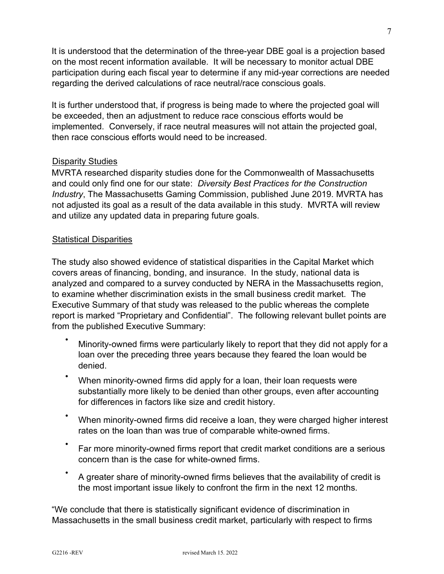It is understood that the determination of the three-year DBE goal is a projection based on the most recent information available. It will be necessary to monitor actual DBE participation during each fiscal year to determine if any mid-year corrections are needed regarding the derived calculations of race neutral/race conscious goals.

It is further understood that, if progress is being made to where the projected goal will be exceeded, then an adjustment to reduce race conscious efforts would be implemented. Conversely, if race neutral measures will not attain the projected goal, then race conscious efforts would need to be increased.

#### Disparity Studies

MVRTA researched disparity studies done for the Commonwealth of Massachusetts and could only find one for our state: Diversity Best Practices for the Construction Industry, The Massachusetts Gaming Commission, published June 2019. MVRTA has not adjusted its goal as a result of the data available in this study. MVRTA will review and utilize any updated data in preparing future goals.

#### Statistical Disparities

The study also showed evidence of statistical disparities in the Capital Market which covers areas of financing, bonding, and insurance. In the study, national data is analyzed and compared to a survey conducted by NERA in the Massachusetts region, to examine whether discrimination exists in the small business credit market. The Executive Summary of that study was released to the public whereas the complete report is marked "Proprietary and Confidential". The following relevant bullet points are from the published Executive Summary:

- Minority-owned firms were particularly likely to report that they did not apply for a loan over the preceding three years because they feared the loan would be denied.
- When minority-owned firms did apply for a loan, their loan requests were substantially more likely to be denied than other groups, even after accounting for differences in factors like size and credit history.
- When minority-owned firms did receive a loan, they were charged higher interest rates on the loan than was true of comparable white-owned firms.
- Far more minority-owned firms report that credit market conditions are a serious concern than is the case for white-owned firms.
- A greater share of minority-owned firms believes that the availability of credit is the most important issue likely to confront the firm in the next 12 months.

"We conclude that there is statistically significant evidence of discrimination in Massachusetts in the small business credit market, particularly with respect to firms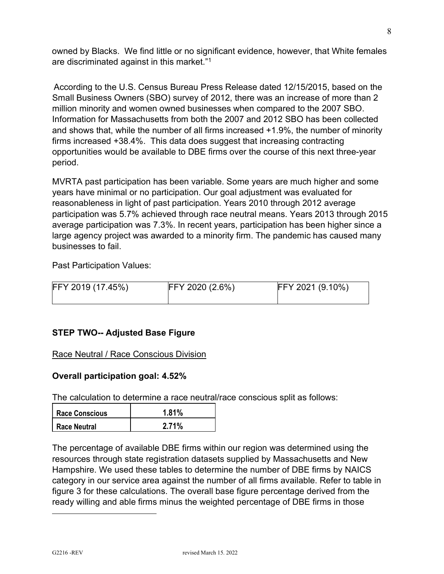owned by Blacks. We find little or no significant evidence, however, that White females are discriminated against in this market."<sup>1</sup>

According to the U.S. Census Bureau Press Release dated 12/15/2015, based on the Small Business Owners (SBO) survey of 2012, there was an increase of more than 2 million minority and women owned businesses when compared to the 2007 SBO. Information for Massachusetts from both the 2007 and 2012 SBO has been collected and shows that, while the number of all firms increased +1.9%, the number of minority firms increased +38.4%. This data does suggest that increasing contracting opportunities would be available to DBE firms over the course of this next three-year period.

MVRTA past participation has been variable. Some years are much higher and some years have minimal or no participation. Our goal adjustment was evaluated for reasonableness in light of past participation. Years 2010 through 2012 average participation was 5.7% achieved through race neutral means. Years 2013 through 2015 average participation was 7.3%. In recent years, participation has been higher since a large agency project was awarded to a minority firm. The pandemic has caused many businesses to fail.

Past Participation Values:

| FFY 2019 (17.45%) | FFY 2020 (2.6%) | FFY 2021 (9.10%) |
|-------------------|-----------------|------------------|
|-------------------|-----------------|------------------|

## STEP TWO-- Adjusted Base Figure

#### Race Neutral / Race Conscious Division

#### Overall participation goal: 4.52%

The calculation to determine a race neutral/race conscious split as follows:

| Race Conscious | 1.81% |
|----------------|-------|
| Race Neutral   | 2.71% |

The percentage of available DBE firms within our region was determined using the resources through state registration datasets supplied by Massachusetts and New Hampshire. We used these tables to determine the number of DBE firms by NAICS category in our service area against the number of all firms available. Refer to table in figure 3 for these calculations. The overall base figure percentage derived from the ready willing and able firms minus the weighted percentage of DBE firms in those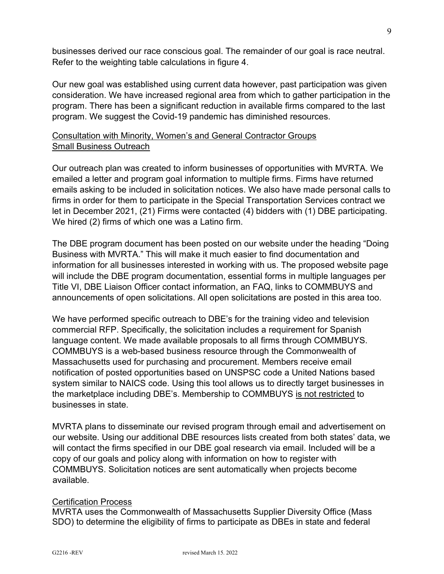businesses derived our race conscious goal. The remainder of our goal is race neutral. Refer to the weighting table calculations in figure 4.

Our new goal was established using current data however, past participation was given consideration. We have increased regional area from which to gather participation in the program. There has been a significant reduction in available firms compared to the last program. We suggest the Covid-19 pandemic has diminished resources.

# Consultation with Minority, Women's and General Contractor Groups Small Business Outreach

Our outreach plan was created to inform businesses of opportunities with MVRTA. We emailed a letter and program goal information to multiple firms. Firms have returned emails asking to be included in solicitation notices. We also have made personal calls to firms in order for them to participate in the Special Transportation Services contract we let in December 2021, (21) Firms were contacted (4) bidders with (1) DBE participating. We hired (2) firms of which one was a Latino firm.

The DBE program document has been posted on our website under the heading "Doing Business with MVRTA." This will make it much easier to find documentation and information for all businesses interested in working with us. The proposed website page will include the DBE program documentation, essential forms in multiple languages per Title VI, DBE Liaison Officer contact information, an FAQ, links to COMMBUYS and announcements of open solicitations. All open solicitations are posted in this area too.

We have performed specific outreach to DBE's for the training video and television commercial RFP. Specifically, the solicitation includes a requirement for Spanish language content. We made available proposals to all firms through COMMBUYS. COMMBUYS is a web-based business resource through the Commonwealth of Massachusetts used for purchasing and procurement. Members receive email notification of posted opportunities based on UNSPSC code a United Nations based system similar to NAICS code. Using this tool allows us to directly target businesses in the marketplace including DBE's. Membership to COMMBUYS is not restricted to businesses in state.

MVRTA plans to disseminate our revised program through email and advertisement on our website. Using our additional DBE resources lists created from both states' data, we will contact the firms specified in our DBE goal research via email. Included will be a copy of our goals and policy along with information on how to register with COMMBUYS. Solicitation notices are sent automatically when projects become available.

#### Certification Process

MVRTA uses the Commonwealth of Massachusetts Supplier Diversity Office (Mass SDO) to determine the eligibility of firms to participate as DBEs in state and federal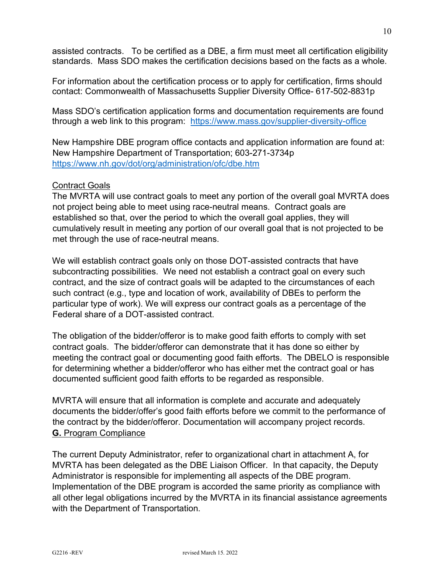assisted contracts. To be certified as a DBE, a firm must meet all certification eligibility standards. Mass SDO makes the certification decisions based on the facts as a whole.

For information about the certification process or to apply for certification, firms should contact: Commonwealth of Massachusetts Supplier Diversity Office- 617-502-8831p

Mass SDO's certification application forms and documentation requirements are found through a web link to this program: https://www.mass.gov/supplier-diversity-office

New Hampshire DBE program office contacts and application information are found at: New Hampshire Department of Transportation; 603-271-3734p https://www.nh.gov/dot/org/administration/ofc/dbe.htm

#### Contract Goals

The MVRTA will use contract goals to meet any portion of the overall goal MVRTA does not project being able to meet using race-neutral means. Contract goals are established so that, over the period to which the overall goal applies, they will cumulatively result in meeting any portion of our overall goal that is not projected to be met through the use of race-neutral means.

We will establish contract goals only on those DOT-assisted contracts that have subcontracting possibilities. We need not establish a contract goal on every such contract, and the size of contract goals will be adapted to the circumstances of each such contract (e.g., type and location of work, availability of DBEs to perform the particular type of work). We will express our contract goals as a percentage of the Federal share of a DOT-assisted contract.

The obligation of the bidder/offeror is to make good faith efforts to comply with set contract goals. The bidder/offeror can demonstrate that it has done so either by meeting the contract goal or documenting good faith efforts. The DBELO is responsible for determining whether a bidder/offeror who has either met the contract goal or has documented sufficient good faith efforts to be regarded as responsible.

MVRTA will ensure that all information is complete and accurate and adequately documents the bidder/offer's good faith efforts before we commit to the performance of the contract by the bidder/offeror. Documentation will accompany project records. G. Program Compliance

The current Deputy Administrator, refer to organizational chart in attachment A, for MVRTA has been delegated as the DBE Liaison Officer. In that capacity, the Deputy Administrator is responsible for implementing all aspects of the DBE program. Implementation of the DBE program is accorded the same priority as compliance with all other legal obligations incurred by the MVRTA in its financial assistance agreements with the Department of Transportation.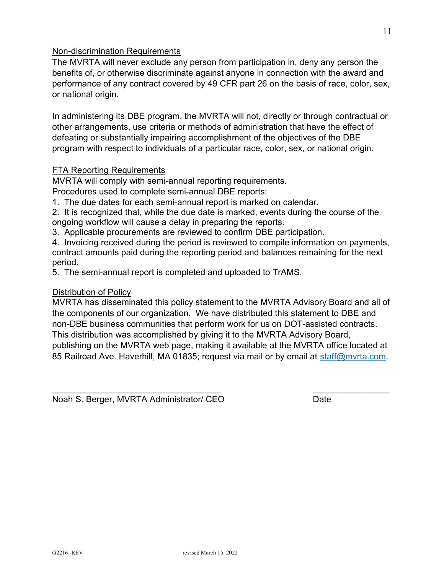#### Non-discrimination Requirements

The MVRTA will never exclude any person from participation in, deny any person the benefits of, or otherwise discriminate against anyone in connection with the award and performance of any contract covered by 49 CFR part 26 on the basis of race, color, sex, or national origin.

In administering its DBE program, the MVRTA will not, directly or through contractual or other arrangements, use criteria or methods of administration that have the effect of defeating or substantially impairing accomplishment of the objectives of the DBE program with respect to individuals of a particular race, color, sex, or national origin.

#### FTA Reporting Requirements

MVRTA will comply with semi-annual reporting requirements.

Procedures used to complete semi-annual DBE reports:

- 1. The due dates for each semi-annual report is marked on calendar.
- 2. It is recognized that, while the due date is marked, events during the course of the ongoing workflow will cause a delay in preparing the reports.
- 3. Applicable procurements are reviewed to confirm DBE participation.
- 4. Invoicing received during the period is reviewed to compile information on payments, contract amounts paid during the reporting period and balances remaining for the next period.
- 5. The semi-annual report is completed and uploaded to TrAMS.

#### Distribution of Policy

MVRTA has disseminated this policy statement to the MVRTA Advisory Board and all of the components of our organization. We have distributed this statement to DBE and non-DBE business communities that perform work for us on DOT-assisted contracts. This distribution was accomplished by giving it to the MVRTA Advisory Board, publishing on the MVRTA web page, making it available at the MVRTA office located at

85 Railroad Ave. Haverhill, MA 01835; request via mail or by email at staff@mvrta.com.

 $\overline{\phantom{a}}$  , and the contract of the contract of the contract of the contract of the contract of the contract of the contract of the contract of the contract of the contract of the contract of the contract of the contrac

Noah S. Berger, MVRTA Administrator/ CEO Date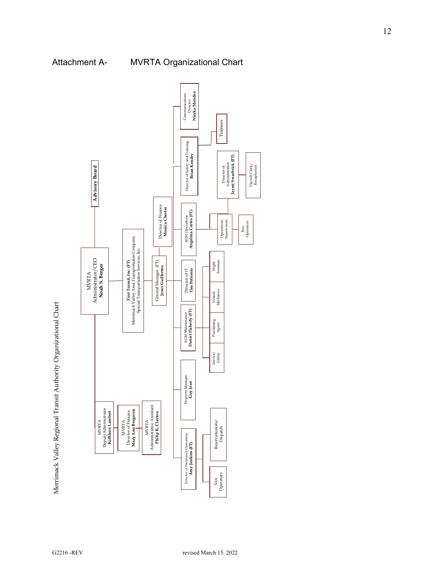